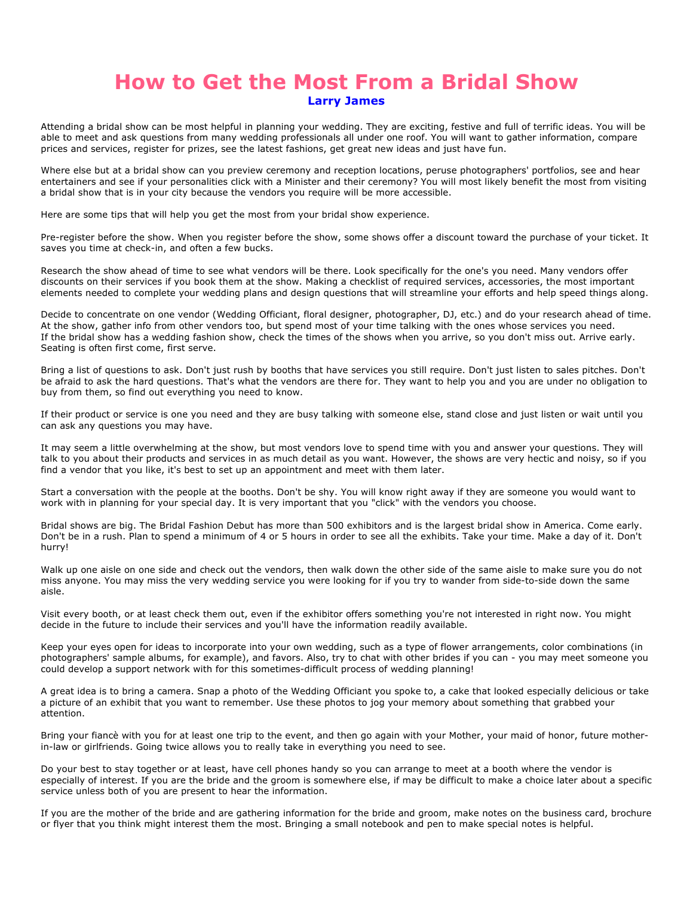## **How to Get the Most From a Bridal Show Larry James**

Attending a bridal show can be most helpful in planning your wedding. They are exciting, festive and full of terrific ideas. You will be able to meet and ask questions from many wedding professionals all under one roof. You will want to gather information, compare prices and services, register for prizes, see the latest fashions, get great new ideas and just have fun.

Where else but at a bridal show can you preview ceremony and reception locations, peruse photographers' portfolios, see and hear entertainers and see if your personalities click with a Minister and their ceremony? You will most likely benefit the most from visiting a bridal show that is in your city because the vendors you require will be more accessible.

Here are some tips that will help you get the most from your bridal show experience.

Pre-register before the show. When you register before the show, some shows offer a discount toward the purchase of your ticket. It saves you time at check-in, and often a few bucks.

Research the show ahead of time to see what vendors will be there. Look specifically for the one's you need. Many vendors offer discounts on their services if you book them at the show. Making a checklist of required services, accessories, the most important elements needed to complete your wedding plans and design questions that will streamline your efforts and help speed things along.

Decide to concentrate on one vendor (Wedding Officiant, floral designer, photographer, DJ, etc.) and do your research ahead of time. At the show, gather info from other vendors too, but spend most of your time talking with the ones whose services you need. If the bridal show has a wedding fashion show, check the times of the shows when you arrive, so you don't miss out. Arrive early. Seating is often first come, first serve.

Bring a list of questions to ask. Don't just rush by booths that have services you still require. Don't just listen to sales pitches. Don't be afraid to ask the hard questions. That's what the vendors are there for. They want to help you and you are under no obligation to buy from them, so find out everything you need to know.

If their product or service is one you need and they are busy talking with someone else, stand close and just listen or wait until you can ask any questions you may have.

It may seem a little overwhelming at the show, but most vendors love to spend time with you and answer your questions. They will talk to you about their products and services in as much detail as you want. However, the shows are very hectic and noisy, so if you find a vendor that you like, it's best to set up an appointment and meet with them later.

Start a conversation with the people at the booths. Don't be shy. You will know right away if they are someone you would want to work with in planning for your special day. It is very important that you "click" with the vendors you choose.

Bridal shows are big. The Bridal Fashion Debut has more than 500 exhibitors and is the largest bridal show in America. Come early. Don't be in a rush. Plan to spend a minimum of 4 or 5 hours in order to see all the exhibits. Take your time. Make a day of it. Don't hurry!

Walk up one aisle on one side and check out the vendors, then walk down the other side of the same aisle to make sure you do not miss anyone. You may miss the very wedding service you were looking for if you try to wander from side-to-side down the same aisle.

Visit every booth, or at least check them out, even if the exhibitor offers something you're not interested in right now. You might decide in the future to include their services and you'll have the information readily available.

Keep your eyes open for ideas to incorporate into your own wedding, such as a type of flower arrangements, color combinations (in photographers' sample albums, for example), and favors. Also, try to chat with other brides if you can - you may meet someone you could develop a support network with for this sometimes-difficult process of wedding planning!

A great idea is to bring a camera. Snap a photo of the Wedding Officiant you spoke to, a cake that looked especially delicious or take a picture of an exhibit that you want to remember. Use these photos to jog your memory about something that grabbed your attention.

Bring your fiancè with you for at least one trip to the event, and then go again with your Mother, your maid of honor, future motherin-law or girlfriends. Going twice allows you to really take in everything you need to see.

Do your best to stay together or at least, have cell phones handy so you can arrange to meet at a booth where the vendor is especially of interest. If you are the bride and the groom is somewhere else, if may be difficult to make a choice later about a specific service unless both of you are present to hear the information.

If you are the mother of the bride and are gathering information for the bride and groom, make notes on the business card, brochure or flyer that you think might interest them the most. Bringing a small notebook and pen to make special notes is helpful.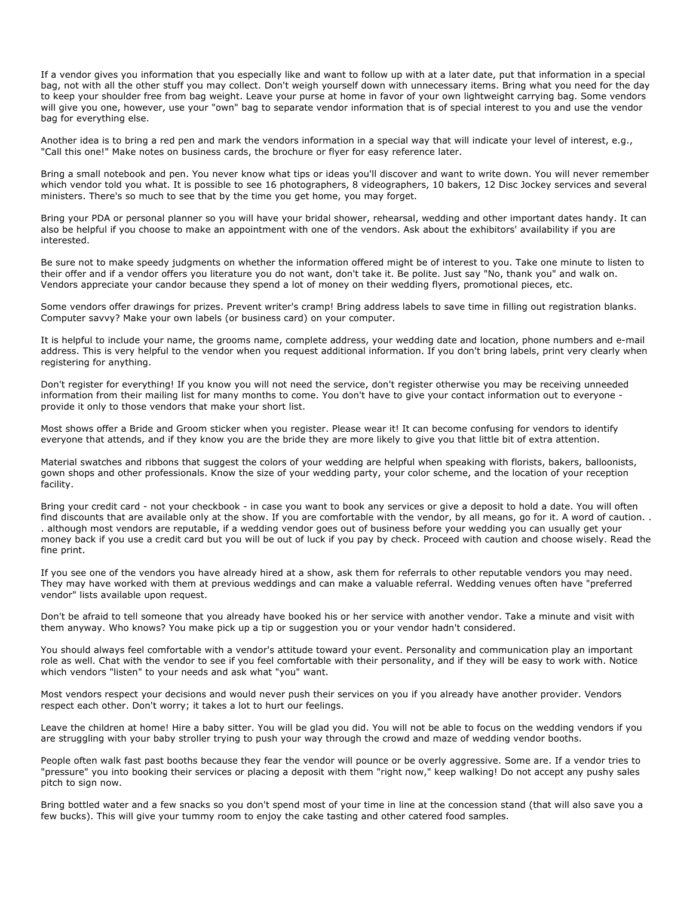If a vendor gives you information that you especially like and want to follow up with at a later date, put that information in a special bag, not with all the other stuff you may collect. Don't weigh yourself down with unnecessary items. Bring what you need for the day to keep your shoulder free from bag weight. Leave your purse at home in favor of your own lightweight carrying bag. Some vendors will give you one, however, use your "own" bag to separate vendor information that is of special interest to you and use the vendor bag for everything else.

Another idea is to bring a red pen and mark the vendors information in a special way that will indicate your level of interest, e.g., "Call this one!" Make notes on business cards, the brochure or flyer for easy reference later.

Bring a small notebook and pen. You never know what tips or ideas you'll discover and want to write down. You will never remember which vendor told you what. It is possible to see 16 photographers, 8 videographers, 10 bakers, 12 Disc Jockey services and several ministers. There's so much to see that by the time you get home, you may forget.

Bring your PDA or personal planner so you will have your bridal shower, rehearsal, wedding and other important dates handy. It can also be helpful if you choose to make an appointment with one of the vendors. Ask about the exhibitors' availability if you are interested.

Be sure not to make speedy judgments on whether the information offered might be of interest to you. Take one minute to listen to their offer and if a vendor offers you literature you do not want, don't take it. Be polite. Just say "No, thank you" and walk on. Vendors appreciate your candor because they spend a lot of money on their wedding flyers, promotional pieces, etc.

Some vendors offer drawings for prizes. Prevent writer's cramp! Bring address labels to save time in filling out registration blanks. Computer savvy? Make your own labels (or business card) on your computer.

It is helpful to include your name, the grooms name, complete address, your wedding date and location, phone numbers and e-mail address. This is very helpful to the vendor when you request additional information. If you don't bring labels, print very clearly when registering for anything.

Don't register for everything! If you know you will not need the service, don't register otherwise you may be receiving unneeded information from their mailing list for many months to come. You don't have to give your contact information out to everyone provide it only to those vendors that make your short list.

Most shows offer a Bride and Groom sticker when you register. Please wear it! It can become confusing for vendors to identify everyone that attends, and if they know you are the bride they are more likely to give you that little bit of extra attention.

Material swatches and ribbons that suggest the colors of your wedding are helpful when speaking with florists, bakers, balloonists, gown shops and other professionals. Know the size of your wedding party, your color scheme, and the location of your reception facility.

Bring your credit card - not your checkbook - in case you want to book any services or give a deposit to hold a date. You will often find discounts that are available only at the show. If you are comfortable with the vendor, by all means, go for it. A word of caution. . . although most vendors are reputable, if a wedding vendor goes out of business before your wedding you can usually get your money back if you use a credit card but you will be out of luck if you pay by check. Proceed with caution and choose wisely. Read the fine print.

If you see one of the vendors you have already hired at a show, ask them for referrals to other reputable vendors you may need. They may have worked with them at previous weddings and can make a valuable referral. Wedding venues often have "preferred vendor" lists available upon request.

Don't be afraid to tell someone that you already have booked his or her service with another vendor. Take a minute and visit with them anyway. Who knows? You make pick up a tip or suggestion you or your vendor hadn't considered.

You should always feel comfortable with a vendor's attitude toward your event. Personality and communication play an important role as well. Chat with the vendor to see if you feel comfortable with their personality, and if they will be easy to work with. Notice which vendors "listen" to your needs and ask what "you" want.

Most vendors respect your decisions and would never push their services on you if you already have another provider. Vendors respect each other. Don't worry; it takes a lot to hurt our feelings.

Leave the children at home! Hire a baby sitter. You will be glad you did. You will not be able to focus on the wedding vendors if you are struggling with your baby stroller trying to push your way through the crowd and maze of wedding vendor booths.

People often walk fast past booths because they fear the vendor will pounce or be overly aggressive. Some are. If a vendor tries to "pressure" you into booking their services or placing a deposit with them "right now," keep walking! Do not accept any pushy sales pitch to sign now.

Bring bottled water and a few snacks so you don't spend most of your time in line at the concession stand (that will also save you a few bucks). This will give your tummy room to enjoy the cake tasting and other catered food samples.